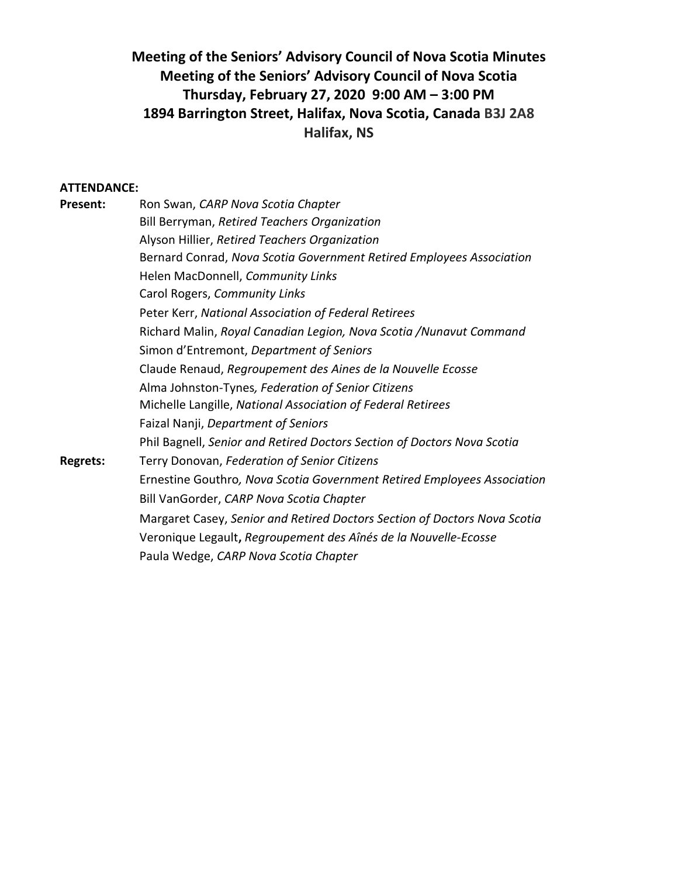# **Meeting of the Seniors' Advisory Council of Nova Scotia Minutes Meeting of the Seniors' Advisory Council of Nova Scotia Thursday, February 27, 2020 9:00 AM – 3:00 PM 1894 Barrington Street, Halifax, Nova Scotia, Canada B3J 2A8 Halifax, NS**

#### **ATTENDANCE:**

| <b>Present:</b> | Ron Swan, CARP Nova Scotia Chapter                                        |
|-----------------|---------------------------------------------------------------------------|
|                 | Bill Berryman, Retired Teachers Organization                              |
|                 | Alyson Hillier, Retired Teachers Organization                             |
|                 | Bernard Conrad, Nova Scotia Government Retired Employees Association      |
|                 | Helen MacDonnell, Community Links                                         |
|                 | Carol Rogers, Community Links                                             |
|                 | Peter Kerr, National Association of Federal Retirees                      |
|                 | Richard Malin, Royal Canadian Legion, Nova Scotia / Nunavut Command       |
|                 | Simon d'Entremont, Department of Seniors                                  |
|                 | Claude Renaud, Regroupement des Aines de la Nouvelle Ecosse               |
|                 | Alma Johnston-Tynes, Federation of Senior Citizens                        |
|                 | Michelle Langille, National Association of Federal Retirees               |
|                 | Faizal Nanji, Department of Seniors                                       |
|                 | Phil Bagnell, Senior and Retired Doctors Section of Doctors Nova Scotia   |
| <b>Regrets:</b> | Terry Donovan, Federation of Senior Citizens                              |
|                 | Ernestine Gouthro, Nova Scotia Government Retired Employees Association   |
|                 | Bill VanGorder, CARP Nova Scotia Chapter                                  |
|                 | Margaret Casey, Senior and Retired Doctors Section of Doctors Nova Scotia |
|                 | Veronique Legault, Regroupement des Aînés de la Nouvelle-Ecosse           |
|                 | Paula Wedge, CARP Nova Scotia Chapter                                     |
|                 |                                                                           |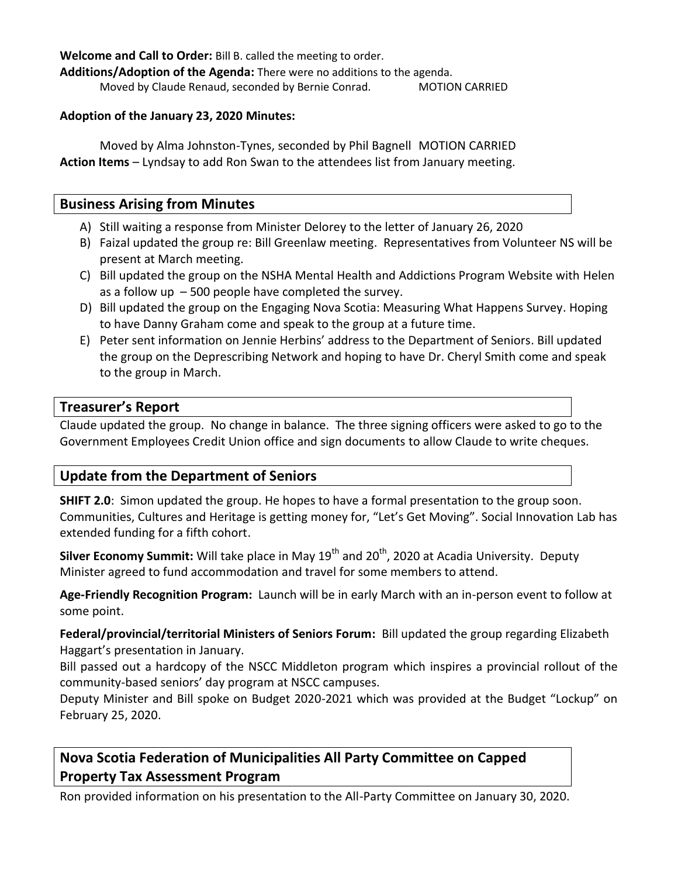**Welcome and Call to Order:** Bill B. called the meeting to order.

**Additions/Adoption of the Agenda:** There were no additions to the agenda.

Moved by Claude Renaud, seconded by Bernie Conrad. MOTION CARRIED

### **Adoption of the January 23, 2020 Minutes:**

Moved by Alma Johnston-Tynes, seconded by Phil Bagnell MOTION CARRIED **Action Items** – Lyndsay to add Ron Swan to the attendees list from January meeting.

### **Business Arising from Minutes**

- A) Still waiting a response from Minister Delorey to the letter of January 26, 2020
- B) Faizal updated the group re: Bill Greenlaw meeting. Representatives from Volunteer NS will be present at March meeting.
- C) Bill updated the group on the NSHA Mental Health and Addictions Program Website with Helen as a follow up  $-500$  people have completed the survey.
- D) Bill updated the group on the Engaging Nova Scotia: Measuring What Happens Survey. Hoping to have Danny Graham come and speak to the group at a future time.
- E) Peter sent information on Jennie Herbins' address to the Department of Seniors. Bill updated the group on the Deprescribing Network and hoping to have Dr. Cheryl Smith come and speak to the group in March.

### **Treasurer's Report**

Claude updated the group. No change in balance. The three signing officers were asked to go to the Government Employees Credit Union office and sign documents to allow Claude to write cheques.

## **Update from the Department of Seniors**

**SHIFT 2.0**: Simon updated the group. He hopes to have a formal presentation to the group soon. Communities, Cultures and Heritage is getting money for, "Let's Get Moving". Social Innovation Lab has extended funding for a fifth cohort.

**Silver Economy Summit:** Will take place in May 19<sup>th</sup> and 20<sup>th</sup>, 2020 at Acadia University. Deputy Minister agreed to fund accommodation and travel for some members to attend.

**Age-Friendly Recognition Program:** Launch will be in early March with an in-person event to follow at some point.

**Federal/provincial/territorial Ministers of Seniors Forum:** Bill updated the group regarding Elizabeth Haggart's presentation in January.

Bill passed out a hardcopy of the NSCC Middleton program which inspires a provincial rollout of the community-based seniors' day program at NSCC campuses.

Deputy Minister and Bill spoke on Budget 2020-2021 which was provided at the Budget "Lockup" on February 25, 2020.

# **Nova Scotia Federation of Municipalities All Party Committee on Capped Property Tax Assessment Program**

Ron provided information on his presentation to the All-Party Committee on January 30, 2020.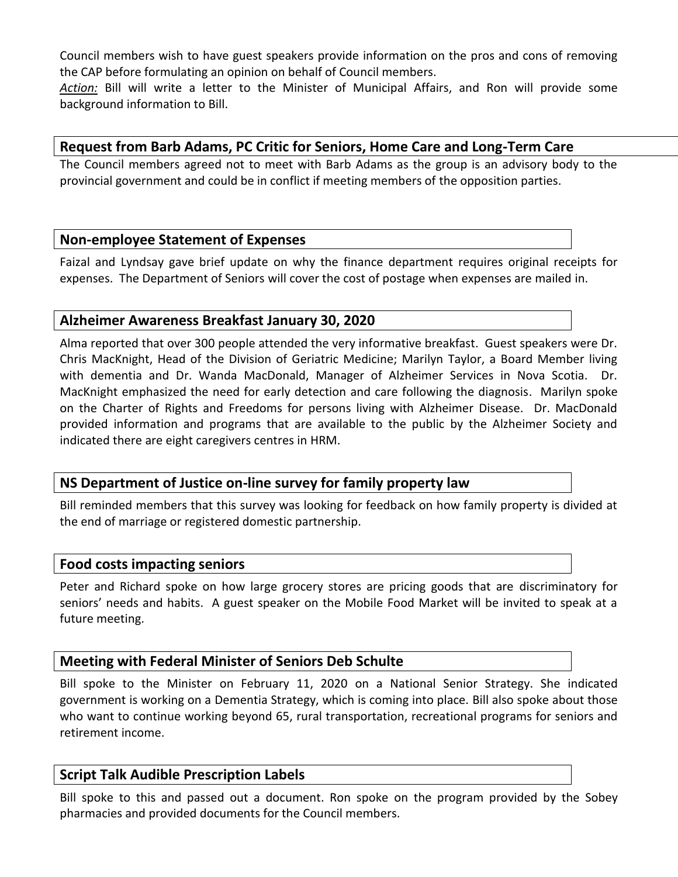Council members wish to have guest speakers provide information on the pros and cons of removing the CAP before formulating an opinion on behalf of Council members.

*Action:* Bill will write a letter to the Minister of Municipal Affairs, and Ron will provide some background information to Bill.

## **Request from Barb Adams, PC Critic for Seniors, Home Care and Long-Term Care**

The Council members agreed not to meet with Barb Adams as the group is an advisory body to the provincial government and could be in conflict if meeting members of the opposition parties.

### **Non-employee Statement of Expenses**

Faizal and Lyndsay gave brief update on why the finance department requires original receipts for expenses. The Department of Seniors will cover the cost of postage when expenses are mailed in.

## **Alzheimer Awareness Breakfast January 30, 2020**

Alma reported that over 300 people attended the very informative breakfast. Guest speakers were Dr. Chris MacKnight, Head of the Division of Geriatric Medicine; Marilyn Taylor, a Board Member living with dementia and Dr. Wanda MacDonald, Manager of Alzheimer Services in Nova Scotia. Dr. MacKnight emphasized the need for early detection and care following the diagnosis. Marilyn spoke on the Charter of Rights and Freedoms for persons living with Alzheimer Disease. Dr. MacDonald provided information and programs that are available to the public by the Alzheimer Society and indicated there are eight caregivers centres in HRM.

## **NS Department of Justice on-line survey for family property law**

Bill reminded members that this survey was looking for feedback on how family property is divided at the end of marriage or registered domestic partnership.

### **Food costs impacting seniors**

Peter and Richard spoke on how large grocery stores are pricing goods that are discriminatory for seniors' needs and habits. A guest speaker on the Mobile Food Market will be invited to speak at a future meeting.

### **Meeting with Federal Minister of Seniors Deb Schulte**

Bill spoke to the Minister on February 11, 2020 on a National Senior Strategy. She indicated government is working on a Dementia Strategy, which is coming into place. Bill also spoke about those who want to continue working beyond 65, rural transportation, recreational programs for seniors and retirement income.

### **Script Talk Audible Prescription Labels**

Bill spoke to this and passed out a document. Ron spoke on the program provided by the Sobey pharmacies and provided documents for the Council members.